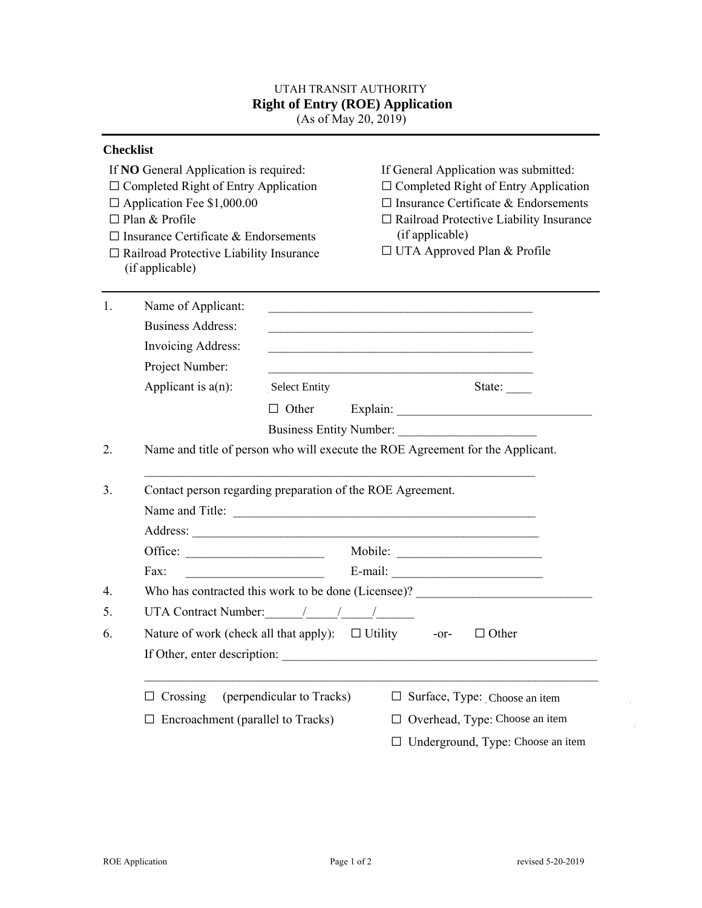## UTAH TRANSIT AUTHORITY  **Right of Entry (ROE) Application**

(As of May 20, 2019)

|    | <b>Checklist</b>                                                                                                                                                                                                                                                          |                           |                                                                                                                                                                                                                                                                                |  |  |
|----|---------------------------------------------------------------------------------------------------------------------------------------------------------------------------------------------------------------------------------------------------------------------------|---------------------------|--------------------------------------------------------------------------------------------------------------------------------------------------------------------------------------------------------------------------------------------------------------------------------|--|--|
|    | If <b>NO</b> General Application is required:<br>$\Box$ Completed Right of Entry Application<br>$\Box$ Application Fee \$1,000.00<br>$\Box$ Plan & Profile<br>$\Box$ Insurance Certificate & Endorsements<br>□ Railroad Protective Liability Insurance<br>(if applicable) |                           | If General Application was submitted:<br>$\Box$ Completed Right of Entry Application<br>$\Box$ Insurance Certificate & Endorsements<br>$\Box$ Railroad Protective Liability Insurance<br>(if applicable)<br>$\Box$ UTA Approved Plan & Profile                                 |  |  |
| 1. | Name of Applicant:                                                                                                                                                                                                                                                        |                           |                                                                                                                                                                                                                                                                                |  |  |
|    | <b>Business Address:</b>                                                                                                                                                                                                                                                  |                           |                                                                                                                                                                                                                                                                                |  |  |
|    | <b>Invoicing Address:</b>                                                                                                                                                                                                                                                 |                           |                                                                                                                                                                                                                                                                                |  |  |
|    | Project Number:                                                                                                                                                                                                                                                           |                           |                                                                                                                                                                                                                                                                                |  |  |
|    | Applicant is $a(n)$ :                                                                                                                                                                                                                                                     | <b>Select Entity</b>      | State: $\frac{ }{ }$                                                                                                                                                                                                                                                           |  |  |
|    |                                                                                                                                                                                                                                                                           |                           |                                                                                                                                                                                                                                                                                |  |  |
|    |                                                                                                                                                                                                                                                                           |                           | Business Entity Number:                                                                                                                                                                                                                                                        |  |  |
| 2. | Name and title of person who will execute the ROE Agreement for the Applicant.                                                                                                                                                                                            |                           |                                                                                                                                                                                                                                                                                |  |  |
| 3. | Contact person regarding preparation of the ROE Agreement.<br>Name and Title:                                                                                                                                                                                             |                           |                                                                                                                                                                                                                                                                                |  |  |
|    |                                                                                                                                                                                                                                                                           |                           |                                                                                                                                                                                                                                                                                |  |  |
|    |                                                                                                                                                                                                                                                                           |                           |                                                                                                                                                                                                                                                                                |  |  |
|    |                                                                                                                                                                                                                                                                           |                           |                                                                                                                                                                                                                                                                                |  |  |
|    | Fax:                                                                                                                                                                                                                                                                      |                           | $E$ -mail: $\frac{1}{2}$ E-mail: $\frac{1}{2}$ E-mail: $\frac{1}{2}$ E-mail: $\frac{1}{2}$ E-mail: $\frac{1}{2}$ E-mail: $\frac{1}{2}$ E-mail: $\frac{1}{2}$ E-mail: $\frac{1}{2}$ E-mail: $\frac{1}{2}$ E-mail: $\frac{1}{2}$ E-mail: $\frac{1}{2}$ E-mail: $\frac{1}{2}$ E-m |  |  |
| 4. |                                                                                                                                                                                                                                                                           |                           | Who has contracted this work to be done (Licensee)?                                                                                                                                                                                                                            |  |  |
| 5. |                                                                                                                                                                                                                                                                           |                           |                                                                                                                                                                                                                                                                                |  |  |
| 6. |                                                                                                                                                                                                                                                                           |                           | Nature of work (check all that apply): $\Box$ Utility -or- $\Box$ Other                                                                                                                                                                                                        |  |  |
|    |                                                                                                                                                                                                                                                                           |                           |                                                                                                                                                                                                                                                                                |  |  |
|    | If Other, enter description:                                                                                                                                                                                                                                              |                           |                                                                                                                                                                                                                                                                                |  |  |
|    | Crossing<br>⊔                                                                                                                                                                                                                                                             | (perpendicular to Tracks) | Surface, Type: Choose an item<br>⊔                                                                                                                                                                                                                                             |  |  |
|    | Encroachment (parallel to Tracks)                                                                                                                                                                                                                                         |                           | Overhead, Type: Choose an item                                                                                                                                                                                                                                                 |  |  |